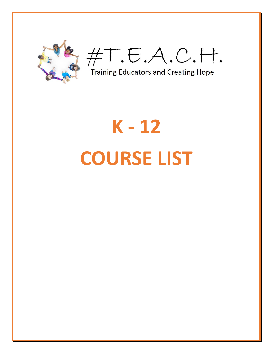

#T.E.A.C.H.

**Training Educators and Creating Hope** 

## K-12 **COURSE LIST**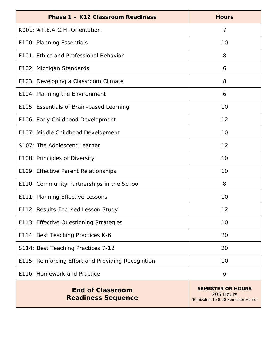| <b>Phase 1 - K12 Classroom Readiness</b>             | <b>Hours</b>                                                                 |
|------------------------------------------------------|------------------------------------------------------------------------------|
| K001: #T.E.A.C.H. Orientation                        | 7                                                                            |
| E100: Planning Essentials                            | 10                                                                           |
| E101: Ethics and Professional Behavior               | 8                                                                            |
| E102: Michigan Standards                             | 6                                                                            |
| E103: Developing a Classroom Climate                 | 8                                                                            |
| E104: Planning the Environment                       | 6                                                                            |
| E105: Essentials of Brain-based Learning             | 10                                                                           |
| E106: Early Childhood Development                    | 12                                                                           |
| E107: Middle Childhood Development                   | 10                                                                           |
| S107: The Adolescent Learner                         | 12                                                                           |
| E108: Principles of Diversity                        | 10                                                                           |
| E109: Effective Parent Relationships                 | 10                                                                           |
| E110: Community Partnerships in the School           | 8                                                                            |
| E111: Planning Effective Lessons                     | 10                                                                           |
| E112: Results-Focused Lesson Study                   | 12                                                                           |
| E113: Effective Questioning Strategies               | 10                                                                           |
| E114: Best Teaching Practices K-6                    | 20                                                                           |
| S114: Best Teaching Practices 7-12                   | 20                                                                           |
| E115: Reinforcing Effort and Providing Recognition   | 10                                                                           |
| E116: Homework and Practice                          | 6                                                                            |
| <b>End of Classroom</b><br><b>Readiness Sequence</b> | <b>SEMESTER OR HOURS</b><br>205 Hours<br>(Equivalent to 8.20 Semester Hours) |